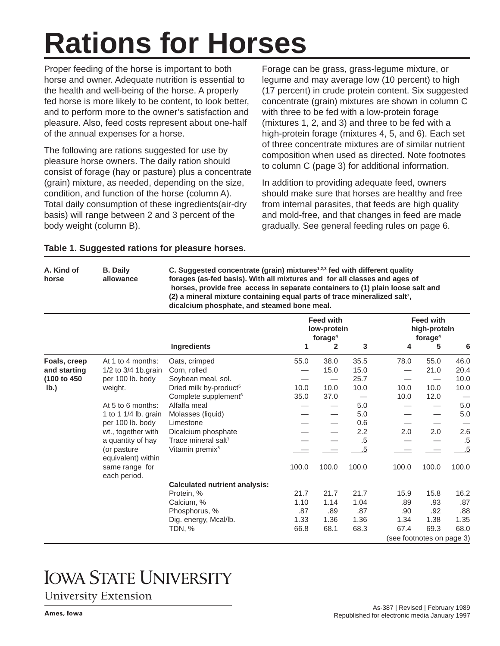# **Rations for Horses**

Proper feeding of the horse is important to both horse and owner. Adequate nutrition is essential to the health and well-being of the horse. A properly fed horse is more likely to be content, to look better, and to perform more to the owner's satisfaction and pleasure. Also, feed costs represent about one-half of the annual expenses for a horse.

The following are rations suggested for use by pleasure horse owners. The daily ration should consist of forage (hay or pasture) plus a concentrate (grain) mixture, as needed, depending on the size, condition, and function of the horse (column A). Total daily consumption of these ingredients(air-dry basis) will range between 2 and 3 percent of the body weight (column B).

Forage can be grass, grass-legume mixture, or legume and may average low (10 percent) to high (17 percent) in crude protein content. Six suggested concentrate (grain) mixtures are shown in column C with three to be fed with a low-protein forage (mixtures 1, 2, and 3) and three to be fed with a high-protein forage (mixtures 4, 5, and 6). Each set of three concentrate mixtures are of similar nutrient composition when used as directed. Note footnotes to column C (page 3) for additional information.

In addition to providing adequate feed, owners should make sure that horses are healthy and free from internal parasites, that feeds are high quality and mold-free, and that changes in feed are made gradually. See general feeding rules on page 6.

|  | Table 1. Suggested rations for pleasure horses. |  |  |  |
|--|-------------------------------------------------|--|--|--|
|--|-------------------------------------------------|--|--|--|

A. Kind of B. Daily **C. Suggested concentrate (grain) mixtures<sup>1,2,3</sup> fed with different quality horse allowance forages (as-fed basis). With all mixtures and for all classes and ages of horses, provide free access in separate containers to (1) plain loose salt and**  (2) a mineral mixture containing equal parts of trace mineralized salt<sup>7</sup>, **dicalcium phosphate, and steamed bone meal.** 

|                |                                    | <b>Feed with</b><br>low-protein<br>forage <sup>4</sup> |       |              |       |                           | <b>Feed with</b><br>high-proteln<br>forage <sup>4</sup> |       |  |  |
|----------------|------------------------------------|--------------------------------------------------------|-------|--------------|-------|---------------------------|---------------------------------------------------------|-------|--|--|
|                |                                    | <b>Ingredients</b>                                     | 1     | $\mathbf{2}$ | 3     | 4                         | 5                                                       | 6     |  |  |
| Foals, creep   | At 1 to 4 months:                  | Oats, crimped                                          | 55.0  | 38.0         | 35.5  | 78.0                      | 55.0                                                    | 46.0  |  |  |
| and starting   | 1/2 to 3/4 1b.grain                | Corn, rolled                                           |       | 15.0         | 15.0  |                           | 21.0                                                    | 20.4  |  |  |
| (100 to 450)   | per 100 lb. body                   | Soybean meal, sol.                                     |       |              | 25.7  |                           |                                                         | 10.0  |  |  |
| I <sub>b</sub> | weight.                            | Dried milk by-product <sup>5</sup>                     | 10.0  | 10.0         | 10.0  | 10.0                      | 10.0                                                    | 10.0  |  |  |
|                |                                    | Complete supplement <sup>6</sup>                       | 35.0  | 37.0         |       | 10.0                      | 12.0                                                    |       |  |  |
|                | At 5 to 6 months:                  | Alfalfa meal                                           |       | —            | 5.0   |                           |                                                         | 5.0   |  |  |
|                | 1 to 1 1/4 lb. grain               | Molasses (liquid)                                      |       | —            | 5.0   |                           |                                                         | 5.0   |  |  |
|                | per 100 lb. body                   | Limestone                                              |       |              | 0.6   |                           |                                                         |       |  |  |
|                | wt., together with                 | Dicalcium phosphate                                    |       |              | 2.2   | 2.0                       | 2.0                                                     | 2.6   |  |  |
|                | a quantity of hay                  | Trace mineral salt <sup>7</sup>                        |       |              | .5    |                           |                                                         | .5    |  |  |
|                | (or pasture)<br>equivalent) within | Vitamin premix <sup>8</sup>                            |       |              | .5    |                           |                                                         | .5    |  |  |
| same range for | each period.                       |                                                        | 100.0 | 100.0        | 100.0 | 100.0                     | 100.0                                                   | 100.0 |  |  |
|                |                                    | <b>Calculated nutrient analysis:</b>                   |       |              |       |                           |                                                         |       |  |  |
|                |                                    | Protein, %                                             | 21.7  | 21.7         | 21.7  | 15.9                      | 15.8                                                    | 16.2  |  |  |
|                |                                    | Calcium, %                                             | 1.10  | 1.14         | 1.04  | .89                       | .93                                                     | .87   |  |  |
|                |                                    | Phosphorus, %                                          | .87   | .89          | .87   | .90                       | .92                                                     | .88   |  |  |
|                |                                    | Dig. energy, Mcal/lb.                                  | 1.33  | 1.36         | 1.36  | 1.34                      | 1.38                                                    | 1.35  |  |  |
|                |                                    | TDN, %                                                 | 66.8  | 68.1         | 68.3  | 67.4                      | 69.3                                                    | 68.0  |  |  |
|                |                                    |                                                        |       |              |       | (see footnotes on page 3) |                                                         |       |  |  |

# **IOWA STATE UNIVERSITY**

**University Extension**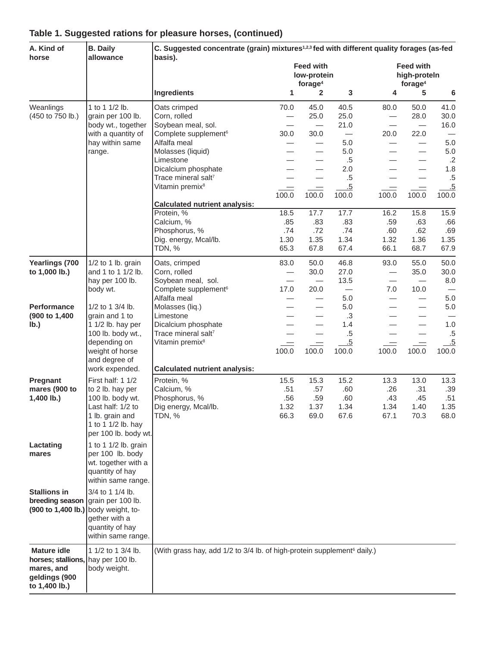| A. Kind of                                                                                                                            | <b>B.</b> Daily                                                                                                                                           | C. Suggested concentrate (grain) mixtures <sup>1,2,3</sup> fed with different quality forages (as-fed |                                                              |                                                                        |                                    |                                                                        |                                                      |                                    |  |  |
|---------------------------------------------------------------------------------------------------------------------------------------|-----------------------------------------------------------------------------------------------------------------------------------------------------------|-------------------------------------------------------------------------------------------------------|--------------------------------------------------------------|------------------------------------------------------------------------|------------------------------------|------------------------------------------------------------------------|------------------------------------------------------|------------------------------------|--|--|
| horse                                                                                                                                 | allowance                                                                                                                                                 | basis).<br>Ingredients                                                                                |                                                              | <b>Feed with</b><br>low-protein<br>forage <sup>4</sup><br>$\mathbf{2}$ | 3                                  | <b>Feed with</b><br>high-proteln<br>forage <sup>4</sup><br>4<br>5<br>6 |                                                      |                                    |  |  |
|                                                                                                                                       |                                                                                                                                                           |                                                                                                       | 1                                                            |                                                                        |                                    |                                                                        |                                                      |                                    |  |  |
| Weanlings<br>(450 to 750 lb.)                                                                                                         | 1 to 1 1/2 lb.<br>grain per 100 lb.<br>body wt., together                                                                                                 | Oats crimped<br>Corn, rolled<br>Soybean meal, sol.                                                    | 70.0                                                         | 45.0<br>25.0<br>$\overline{\phantom{m}}$                               | 40.5<br>25.0<br>21.0               | 80.0                                                                   | 50.0<br>28.0<br>$\overline{\phantom{m}}$             | 41.0<br>30.0<br>16.0               |  |  |
|                                                                                                                                       | with a quantity of<br>hay within same                                                                                                                     | Complete supplement <sup>6</sup><br>Alfalfa meal                                                      | 30.0                                                         | 30.0                                                                   | $\overline{\phantom{m}}$<br>5.0    | 20.0                                                                   | 22.0<br>$\overline{\phantom{0}}$                     | 5.0                                |  |  |
|                                                                                                                                       | range.                                                                                                                                                    | Molasses (liquid)<br>Limestone                                                                        |                                                              |                                                                        | 5.0<br>$.5\,$                      |                                                                        | $\overline{\phantom{0}}$<br>$\overline{\phantom{0}}$ | 5.0<br>$.2\overline{ }$            |  |  |
|                                                                                                                                       |                                                                                                                                                           | Dicalcium phosphate<br>Trace mineral salt7<br>Vitamin premix <sup>8</sup>                             | $\qquad \qquad$                                              | $=$                                                                    | 2.0<br>$.5\,$<br>.5                | $\qquad \qquad$                                                        | $=$                                                  | 1.8<br>$.5\,$<br>.5                |  |  |
|                                                                                                                                       |                                                                                                                                                           |                                                                                                       | 100.0                                                        | 100.0                                                                  | 100.0                              | 100.0                                                                  | 100.0                                                | 100.0                              |  |  |
|                                                                                                                                       |                                                                                                                                                           | <b>Calculated nutrient analysis:</b>                                                                  |                                                              |                                                                        |                                    |                                                                        |                                                      |                                    |  |  |
|                                                                                                                                       |                                                                                                                                                           | Protein, %<br>Calcium, %<br>Phosphorus, %<br>Dig. energy, Mcal/lb.<br>TDN, %                          | 18.5<br>.85<br>.74<br>1.30<br>65.3                           | 17.7<br>.83<br>.72<br>1.35<br>67.8                                     | 17.7<br>.83<br>.74<br>1.34<br>67.4 | 16.2<br>.59<br>.60<br>1.32<br>66.1                                     | 15.8<br>.63<br>.62<br>1.36<br>68.7                   | 15.9<br>.66<br>.69<br>1.35<br>67.9 |  |  |
| Yearlings (700                                                                                                                        | 1/2 to 1 lb. grain                                                                                                                                        | Oats, crimped                                                                                         | 83.0                                                         | 50.0                                                                   | 46.8                               | 93.0                                                                   | 55.0                                                 | 50.0                               |  |  |
| to 1,000 lb.)                                                                                                                         | and 1 to 1 1/2 lb.<br>hay per 100 lb.<br>body wt.                                                                                                         | Corn, rolled<br>Soybean meal, sol.<br>Complete supplement <sup>6</sup>                                | $\overline{\phantom{m}}$<br>$\overline{\phantom{0}}$<br>17.0 | 30.0<br>$\overline{\phantom{m}}$<br>20.0                               | 27.0<br>13.5                       | —<br>7.0                                                               | 35.0<br>$\hspace{0.1mm}-\hspace{0.1mm}$<br>10.0      | 30.0<br>8.0                        |  |  |
| <b>Performance</b>                                                                                                                    | 1/2 to 1 3/4 lb.                                                                                                                                          | Alfalfa meal<br>Molasses (liq.)<br>Limestone                                                          |                                                              | $\overline{\phantom{0}}$                                               | 5.0<br>5.0<br>.3                   |                                                                        | $\overline{\phantom{0}}$                             | 5.0<br>5.0                         |  |  |
| (900 to 1,400<br>grain and 1 to<br>lb.)<br>1 1/2 lb. hay per<br>100 lb. body wt.,<br>depending on<br>weight of horse<br>and degree of |                                                                                                                                                           | Dicalcium phosphate<br>Trace mineral salt7<br>Vitamin premix <sup>8</sup>                             | $\qquad \qquad \overline{\qquad \qquad }$<br>100.0           | $=$<br>100.0                                                           | 1.4<br>$.5\,$<br>.5<br>100.0       | $\qquad \qquad$<br>100.0                                               | $\qquad \qquad =$<br>100.0                           | 1.0<br>$.5\,$<br>$-5$<br>100.0     |  |  |
|                                                                                                                                       | work expended.                                                                                                                                            | <b>Calculated nutrient analysis:</b>                                                                  |                                                              |                                                                        |                                    |                                                                        |                                                      |                                    |  |  |
| Pregnant<br>mares (900 to<br>$1,400$ lb.)                                                                                             | First half: 1 1/2<br>to 2 lb. hay per<br>100 lb. body wt.<br>Last half: 1/2 to<br>1 lb. grain and<br>1 to 1 1/2 lb. hay<br>per 100 lb. body wt.           | Protein, %<br>Calcium, %<br>Phosphorus, %<br>Dig energy, Mcal/lb.<br>TDN, %                           | 15.5<br>.51<br>.56<br>1.32<br>66.3                           | 15.3<br>.57<br>.59<br>1.37<br>69.0                                     | 15.2<br>.60<br>.60<br>1.34<br>67.6 | 13.3<br>.26<br>.43<br>1.34<br>67.1                                     | 13.0<br>.31<br>.45<br>1.40<br>70.3                   | 13.3<br>.39<br>.51<br>1.35<br>68.0 |  |  |
| Lactating<br>mares                                                                                                                    | 1 to 1 1/2 lb. grain<br>per 100 lb. body<br>wt. together with a<br>quantity of hay<br>within same range.                                                  |                                                                                                       |                                                              |                                                                        |                                    |                                                                        |                                                      |                                    |  |  |
| <b>Stallions in</b><br>breeding season                                                                                                | 3/4 to 1 1/4 lb.<br>grain per 100 lb.<br>$(900 \text{ to } 1,400 \text{ lb.})$ body weight, to-<br>gether with a<br>quantity of hay<br>within same range. |                                                                                                       |                                                              |                                                                        |                                    |                                                                        |                                                      |                                    |  |  |
| <b>Mature idle</b><br>horses; stallions, hay per 100 lb.<br>mares, and<br>geldings (900<br>to 1,400 lb.)                              | 1 1/2 to 1 3/4 lb.<br>body weight.                                                                                                                        | (With grass hay, add 1/2 to 3/4 lb. of high-protein supplement <sup>6</sup> daily.)                   |                                                              |                                                                        |                                    |                                                                        |                                                      |                                    |  |  |

#### **Table 1. Suggested rations for pleasure horses, (continued)**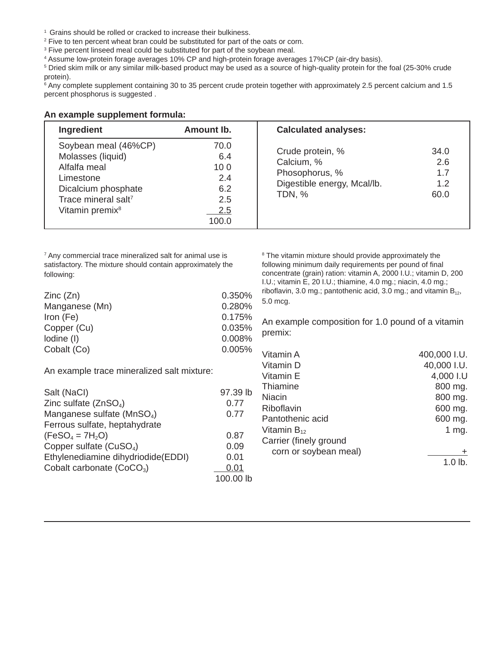- <sup>1</sup> Grains should be rolled or cracked to increase their bulkiness.
- <sup>2</sup> Five to ten percent wheat bran could be substituted for part of the oats or corn.
- <sup>3</sup> Five percent linseed meal could be substituted for part of the soybean meal.
- 4 Assume low-protein forage averages 10% CP and high-protein forage averages 17%CP (air-dry basis).

5 Dried skim milk or any similar milk-based product may be used as a source of high-quality protein for the foal (25-30% crude protein).

<sup>6</sup> Any complete supplement containing 30 to 35 percent crude protein together with approximately 2.5 percent calcium and 1.5 percent phosphorus is suggested .

#### **An example supplement formula:**

| Ingredient                                                                                                                                                      | Amount Ib.                                              | <b>Calculated analyses:</b>                                                                      |                                   |
|-----------------------------------------------------------------------------------------------------------------------------------------------------------------|---------------------------------------------------------|--------------------------------------------------------------------------------------------------|-----------------------------------|
| Soybean meal (46%CP)<br>Molasses (liquid)<br>Alfalfa meal<br>Limestone<br>Dicalcium phosphate<br>Trace mineral salt <sup>7</sup><br>Vitamin premix <sup>8</sup> | 70.0<br>6.4<br>100<br>2.4<br>6.2<br>2.5<br>2.5<br>100.0 | Crude protein, %<br>Calcium, %<br>Phosophorus, %<br>Digestible energy, Mcal/lb.<br><b>TDN, %</b> | 34.0<br>2.6<br>1.7<br>1.2<br>60.0 |

7 Any commercial trace mineralized salt for animal use is satisfactory. The mixture should contain approximately the following:

| Zinc(Zn)       | 0.350% |
|----------------|--------|
| Manganese (Mn) | 0.280% |
| Iron (Fe)      | 0.175% |
| Copper (Cu)    | 0.035% |
| lodine (I)     | 0.008% |
| Cobalt (Co)    | 0.005% |

An example trace mineralized salt mixture:

| Salt (NaCl)                            | 97.39 lb  |
|----------------------------------------|-----------|
| Zinc sulfate $(ZnSO4)$                 | 0.77      |
| Manganese sulfate (MnSO <sub>4</sub> ) | 0.77      |
| Ferrous sulfate, heptahydrate          |           |
| $(FeSO_4 = 7H_2O)$                     | 0.87      |
| Copper sulfate (CuSO <sub>4</sub> )    | 0.09      |
| Ethylenediamine dihydriodide(EDDI)     | 0.01      |
| Cobalt carbonate (CoCO <sub>3</sub> )  | 0.01      |
|                                        | 100.00 lb |

<sup>8</sup> The vitamin mixture should provide approximately the following minimum daily requirements per pound of final concentrate (grain) ration: vitamin A, 2000 I.U.; vitamin D, 200 I.U.; vitamin E, 20 I.U.; thiamine, 4.0 mg.; niacin, 4.0 mg.; riboflavin, 3.0 mg.; pantothenic acid, 3.0 mg.; and vitamin  $B_{12}$ , 5.0 mcg.

An example composition for 1.0 pound of a vitamin premix:

| Vitamin A              | 400,000 I.U. |
|------------------------|--------------|
| Vitamin D              | 40,000 I.U.  |
| Vitamin E              | 4,000 I.U    |
| Thiamine               | 800 mg.      |
| Niacin                 | 800 mg.      |
| Riboflavin             | 600 mg.      |
| Pantothenic acid       | 600 mg.      |
| Vitamin $B_{12}$       | 1 mg.        |
| Carrier (finely ground |              |
| corn or soybean meal)  | ٠            |
|                        | $1.0$ lb.    |
|                        |              |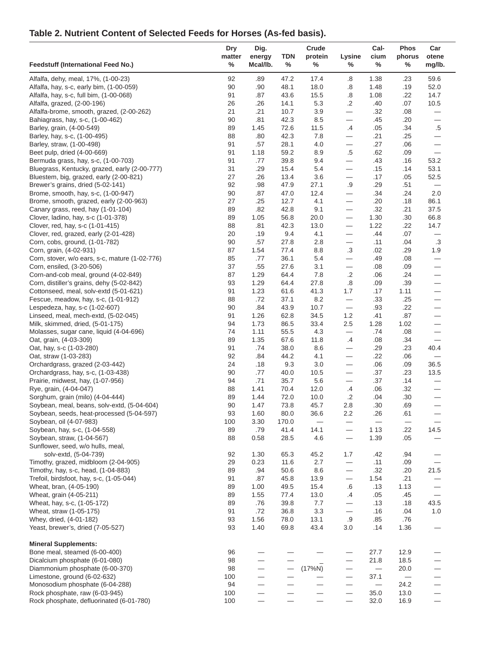# **Table 2. Nutrient Content of Selected Feeds for Horses (As-fed basis).**

|                                                                                 | Dry            | Dig.                     |              | Crude                    |                                | Cal-        | <b>Phos</b>    | Car                                |
|---------------------------------------------------------------------------------|----------------|--------------------------|--------------|--------------------------|--------------------------------|-------------|----------------|------------------------------------|
| <b>Feedstuff (International Feed No.)</b>                                       | matter<br>$\%$ | energy<br>Mcal/lb.       | TDN<br>$\%$  | protein<br>$\%$          | Lysine<br>%                    | cium<br>%   | phorus<br>$\%$ | otene<br>mg/lb.                    |
| Alfalfa, dehy, meal, 17%, (1-00-23)                                             | 92             | .89                      | 47.2         | 17.4                     | $\boldsymbol{.8}$              | 1.38        | .23            | 59.6                               |
| Alfalfa, hay, s-c, early bim, (1-00-059)                                        | 90             | .90                      | 48.1         | 18.0                     | .8                             | 1.48        | .19            | 52.0                               |
| Alfalfa, hay, s-c, full bim, (1-00-068)                                         | 91             | .87                      | 43.6         | 15.5                     | .8                             | 1.08        | .22            | 14.7                               |
| Alfalfa, grazed, (2-00-196)                                                     | 26             | .26                      | 14.1         | 5.3                      | $\cdot$                        | .40         | .07            | 10.5                               |
| Alfalfa-brome, smooth, grazed, (2-00-262)                                       | 21             | .21                      | 10.7         | 3.9                      |                                | .32         | .08            | —                                  |
| Bahiagrass, hay, s-c, (1-00-462)<br>Barley, grain, (4-00-549)                   | 90<br>89       | .81<br>1.45              | 42.3<br>72.6 | 8.5<br>11.5              | $\overline{\phantom{0}}$<br>.4 | .45<br>.05  | .20<br>.34     | $\overline{\phantom{0}}$<br>$.5\,$ |
| Barley, hay, s-c, (1-00-495)                                                    | 88             | .80                      | 42.3         | 7.8                      |                                | .21         | .25            | —                                  |
| Barley, straw, (1-00-498)                                                       | 91             | .57                      | 28.1         | 4.0                      | $\overline{\phantom{0}}$       | .27         | .06            | $\overline{\phantom{0}}$           |
| Beet pulp, dried (4-00-669)                                                     | 91             | 1.18                     | 59.2         | 8.9                      | $.5\,$                         | .62         | .09            | $\qquad \qquad -$                  |
| Bermuda grass, hay, s-c, (1-00-703)                                             | 91             | .77                      | 39.8         | 9.4                      |                                | .43         | .16            | 53.2                               |
| Bluegrass, Kentucky, grazed, early (2-00-777)                                   | 31             | .29                      | 15.4         | 5.4                      | $\overline{\phantom{0}}$       | .15         | .14            | 53.1                               |
| Bluestem, big, grazed, early (2-00-821)                                         | 27             | .26                      | 13.4         | 3.6                      | $\qquad \qquad -$              | .17         | .05            | 52.5                               |
| Brewer's grains, dried (5-02-141)                                               | 92             | .98                      | 47.9         | 27.1                     | $.9\,$                         | .29         | .51            | $\qquad \qquad -$                  |
| Brome, smooth, hay, s-c, (1-00-947)                                             | 90             | .87                      | 47.0         | 12.4                     | $\overline{\phantom{0}}$       | .34         | .24            | 2.0                                |
| Brome, smooth, grazed, early (2-00-963)                                         | 27             | .25                      | 12.7         | 4.1                      | $\qquad \qquad -$              | .20         | .18            | 86.1                               |
| Canary grass, reed, hay (1-01-104)<br>Clover, ladino, hay, s-c (1-01-378)       | 89<br>89       | .82<br>1.05              | 42.8<br>56.8 | 9.1<br>20.0              | $\overline{\phantom{0}}$       | .32<br>1.30 | .21<br>.30     | 37.5<br>66.8                       |
| Clover, red, hay, s-c (1-01-415)                                                | 88             | .81                      | 42.3         | 13.0                     | $\qquad \qquad -$              | 1.22        | .22            | 14.7                               |
| Clover, red, grazed, early (2-01-428)                                           | 20             | .19                      | 9.4          | 4.1                      | $\overline{\phantom{0}}$       | .44         | .07            | —                                  |
| Corn, cobs, ground, (1-01-782)                                                  | 90             | .57                      | 27.8         | 2.8                      | $\overline{\phantom{0}}$       | .11         | .04            | .3                                 |
| Corn, grain, (4-02-931)                                                         | 87             | 1.54                     | 77.4         | 8.8                      | .3                             | .02         | .29            | 1.9                                |
| Corn, stover, w/o ears, s-c, mature (1-02-776)                                  | 85             | .77                      | 36.1         | 5.4                      |                                | .49         | .08            | $\overline{\phantom{0}}$           |
| Corn, ensiled, (3-20-506)                                                       | 37             | .55                      | 27.6         | 3.1                      |                                | .08         | .09            | $\overline{\phantom{0}}$           |
| Corn-and-cob meal, ground (4-02-849)                                            | 87             | 1.29                     | 64.4         | 7.8                      | $\cdot$                        | .06         | .24            |                                    |
| Corn, distiller's grains, dehy (5-02-842)                                       | 93             | 1.29                     | 64.4         | 27.8                     | $\boldsymbol{.8}$              | .09         | .39            |                                    |
| Cottonseed, meal, solv-extd (5-01-621)                                          | 91             | 1.23                     | 61.6         | 41.3                     | 1.7                            | .17         | 1.11           | $\qquad \qquad$                    |
| Fescue, meadow, hay, s-c, (1-01-912)                                            | 88             | .72                      | 37.1         | 8.2                      | $\overline{\phantom{0}}$       | .33         | .25            |                                    |
| Lespedeza, hay, s-c (1-02-607)                                                  | 90<br>91       | .84                      | 43.9<br>62.8 | 10.7                     | 1.2                            | .93<br>.41  | .22<br>.87     | $\overline{\phantom{0}}$           |
| Linseed, meal, mech-extd, (5-02-045)<br>Milk, skimmed, dried, (5-01-175)        | 94             | 1.26<br>1.73             | 86.5         | 34.5<br>33.4             | 2.5                            | 1.28        | 1.02           |                                    |
| Molasses, sugar cane, liquid (4-04-696)                                         | 74             | 1.11                     | 55.5         | 4.3                      | $\overline{\phantom{0}}$       | .74         | .08            | $\overline{\phantom{0}}$           |
| Oat, grain, (4-03-309)                                                          | 89             | 1.35                     | 67.6         | 11.8                     | .4                             | .08         | .34            | $\overline{\phantom{0}}$           |
| Oat, hay, s-c (1-03-280)                                                        | 91             | .74                      | 38.0         | 8.6                      | $\qquad \qquad -$              | .29         | .23            | 40.4                               |
| Oat, straw (1-03-283)                                                           | 92             | .84                      | 44.2         | 4.1                      |                                | .22         | .06            | $\qquad \qquad -$                  |
| Orchardgrass, grazed (2-03-442)                                                 | 24             | .18                      | 9.3          | 3.0                      |                                | .06         | .09            | 36.5                               |
| Orchardgrass, hay, s-c, (1-03-438)                                              | 90             | .77                      | 40.0         | 10.5                     | $\qquad \qquad -$              | .37         | .23            | 13.5                               |
| Prairie, midwest, hay, (1-07-956)                                               | 94             | .71                      | 35.7         | 5.6                      |                                | .37         | .14            |                                    |
| Rye, grain, (4-04-047)                                                          | 88             | 1.41                     | 70.4         | 12.0                     | .4                             | .06         | .32            |                                    |
| Sorghum, grain (milo) (4-04-444)<br>Soybean, meal, beans, solv-extd, (5-04-604) | 89<br>90       | 1.44<br>1.47             | 72.0<br>73.8 | 10.0<br>45.7             | $\cdot$<br>2.8                 | .04<br>.30  | .30<br>.69     |                                    |
| Soybean, seeds, heat-processed (5-04-597)                                       | 93             | 1.60                     | 80.0         | 36.6                     | 2.2                            | .26         | .61            | $\overline{\phantom{0}}$           |
| Soybean, oil (4-07-983)                                                         | 100            | 3.30                     | 170.0        | $\overline{\phantom{0}}$ |                                |             |                |                                    |
| Soybean, hay, s-c, (1-04-558)                                                   | 89             | .79                      | 41.4         | 14.1                     | $\overline{\phantom{0}}$       | 1 1 3       | .22            | 14.5                               |
| Soybean, straw, (1-04-567)                                                      | 88             | 0.58                     | 28.5         | 4.6                      |                                | 1.39        | .05            |                                    |
| Sunflower, seed, w/o hulls, meal,                                               |                |                          |              |                          |                                |             |                |                                    |
| solv-extd, (5-04-739)                                                           | 92             | 1.30                     | 65.3         | 45.2                     | 1.7                            | .42         | .94            |                                    |
| Timothy, grazed, midbloom (2-04-905)                                            | 29             | 0.23                     | 11.6         | 2.7                      |                                | .11         | .09            | $\overline{\phantom{0}}$           |
| Timothy, hay, s-c, head, (1-04-883)                                             | 89             | .94                      | 50.6         | 8.6                      | $\qquad \qquad -$              | .32         | .20            | 21.5                               |
| Trefoil, birdsfoot, hay, s-c, (1-05-044)                                        | 91             | $.87\,$                  | 45.8         | 13.9                     | $\overline{\phantom{0}}$       | 1.54        | .21            |                                    |
| Wheat, bran, (4-05-190)                                                         | 89             | 1.00                     | 49.5         | 15.4                     | .6                             | .13         | 1.13           |                                    |
| Wheat, grain (4-05-211)<br>Wheat, hay, s-c, (1-05-172)                          | 89<br>89       | 1.55<br>.76              | 77.4<br>39.8 | 13.0<br>7.7              | .4<br>$\overline{\phantom{0}}$ | .05<br>.13  | .45<br>.18     | $\qquad \qquad -$<br>43.5          |
| Wheat, straw (1-05-175)                                                         | 91             | .72                      | 36.8         | 3.3                      | $\overline{\phantom{0}}$       | .16         | .04            | 1.0                                |
| Whey, dried, (4-01-182)                                                         | 93             | 1.56                     | 78.0         | 13.1                     | .9                             | .85         | .76            |                                    |
| Yeast, brewer's, dried (7-05-527)                                               | 93             | 1.40                     | 69.8         | 43.4                     | 3.0                            | .14         | 1.36           |                                    |
| <b>Mineral Supplements:</b>                                                     |                |                          |              |                          |                                |             |                |                                    |
| Bone meal, steamed (6-00-400)                                                   | 96             |                          |              |                          |                                | 27.7        | 12.9           |                                    |
| Dicalcium phosphate (6-01-080)                                                  | 98             | $\equiv$                 |              |                          |                                | 21.8        | 18.5           |                                    |
| Diammonium phosphate (6-00-370)                                                 | 98             | $\overline{\phantom{0}}$ |              | (17%N)                   | $\qquad \qquad -$              |             | 20.0           | $\overline{\phantom{0}}$           |
| Limestone, ground (6-02-632)                                                    | 100            | $\overline{\phantom{0}}$ |              |                          |                                | 37.1        |                |                                    |
| Monosodium phosphate (6-04-288)                                                 | 94             |                          |              |                          | $\overline{\phantom{0}}$       |             | 24.2           |                                    |
| Rock phosphate, raw (6-03-945)                                                  | 100<br>100     |                          |              |                          |                                | 35.0        | 13.0           |                                    |
| Rock phosphate, defluorinated (6-01-780)                                        |                |                          |              |                          | $\overline{\phantom{0}}$       | 32.0        | 16.9           |                                    |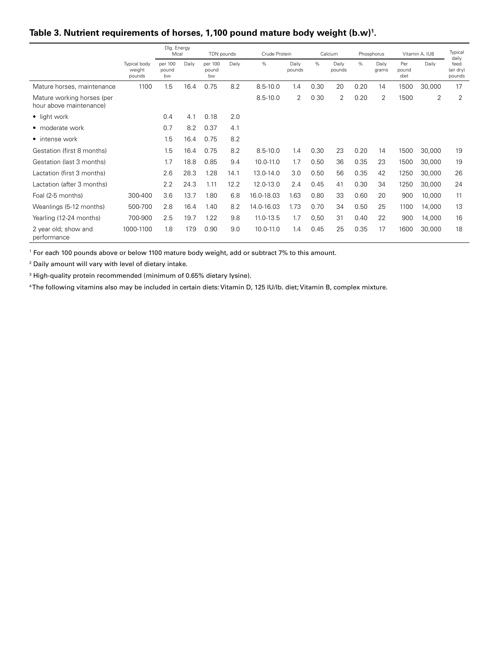|                                                       |                                  | Dlg. Energy<br>Mcal    |       | TDN pounds             |       | Crude Protein |                 |       | Calcium         |      | Phosphorus     |                      | Vitamin A, IU8 | Typical<br>daily            |
|-------------------------------------------------------|----------------------------------|------------------------|-------|------------------------|-------|---------------|-----------------|-------|-----------------|------|----------------|----------------------|----------------|-----------------------------|
|                                                       | Typical body<br>weight<br>pounds | per 100<br>pound<br>bw | Daily | per 100<br>pound<br>bw | Daily | %             | Daily<br>pounds | %     | Daily<br>pounds | %    | Daily<br>grams | Per<br>pound<br>diet | Daily          | feed<br>(air dry)<br>pounds |
| Mature horses, maintenance                            | 1100                             | 1.5                    | 16.4  | 0.75                   | 8.2   | $8.5 - 10.0$  | 1.4             | 0.30  | 20              | 0.20 | 14             | 1500                 | 30,000         | 17                          |
| Mature working horses (per<br>hour above maintenance) |                                  |                        |       |                        |       | $8.5 - 10.0$  | 2               | 0 3 0 | 2               | 0.20 | 2              | 1500                 | 2              | $\overline{2}$              |
| $\bullet$ light work                                  |                                  | 0.4                    | 4.1   | 0.18                   | 2.0   |               |                 |       |                 |      |                |                      |                |                             |
| • moderate work                                       |                                  | 0.7                    | 8.2   | 0.37                   | 4.1   |               |                 |       |                 |      |                |                      |                |                             |
| • intense work                                        |                                  | 1.5                    | 16.4  | 0.75                   | 8.2   |               |                 |       |                 |      |                |                      |                |                             |
| Gestation (first 8 months)                            |                                  | 1.5                    | 16.4  | 0.75                   | 8.2   | $8.5 - 10.0$  | 1.4             | 0.30  | 23              | 0.20 | 14             | 1500                 | 30,000         | 19                          |
| Gestation (last 3 months)                             |                                  | 1.7                    | 18.8  | 0.85                   | 9.4   | 10.0-11.0     | 1.7             | 0.50  | 36              | 0.35 | 23             | 1500                 | 30,000         | 19                          |
| Lactation (first 3 months)                            |                                  | 2.6                    | 28.3  | 1.28                   | 14.1  | 13.0-14.0     | 3.0             | 0.50  | 56              | 0.35 | 42             | 1250                 | 30,000         | 26                          |
| Lactation (after 3 months)                            |                                  | 2.2                    | 24.3  | 1.11                   | 12.2  | 12.0-13.0     | 2.4             | 0.45  | 41              | 0.30 | 34             | 1250                 | 30,000         | 24                          |
| Foal (2-5 months)                                     | 300-400                          | 3.6                    | 13.7  | 1.80                   | 6.8   | 16.0-18.03    | 1.63            | 0.80  | 33              | 0.60 | 20             | 900                  | 10,000         | 11                          |
| Weanlings (5-12 months)                               | 500-700                          | 2.8                    | 16.4  | 1.40                   | 8.2   | 14.0-16.03    | 1.73            | 0.70  | 34              | 0.50 | 25             | 1100                 | 14,000         | 13                          |
| Yearling (12-24 months)                               | 700-900                          | 2.5                    | 19.7  | 1.22                   | 9.8   | 11.0-13.5     | 1.7             | 0,50  | 31              | 0.40 | 22             | 900                  | 14,000         | 16                          |
| 2 year old; show and<br>performance                   | 1000-1100                        | 1.8                    | 17.9  | 0.90                   | 9.0   | 10.0-11.0     | 1.4             | 0.45  | 25              | 0.35 | 17             | 1600                 | 30,000         | 18                          |

### **Table 3. Nutrient requirements of horses, 1,100 pound mature body weight (b.w)1 .**

1 For each 100 pounds above or below 1100 mature body weight, add or subtract 7% to this amount.

2 Daily amount will vary with level of dietary intake.

3 High-quality protein recommended (minimum of 0.65% dietary Iysine).

4 The following vitamins also may be included in certain diets: Vitamin D, 125 IU/lb. diet; Vitamin B, complex mixture.